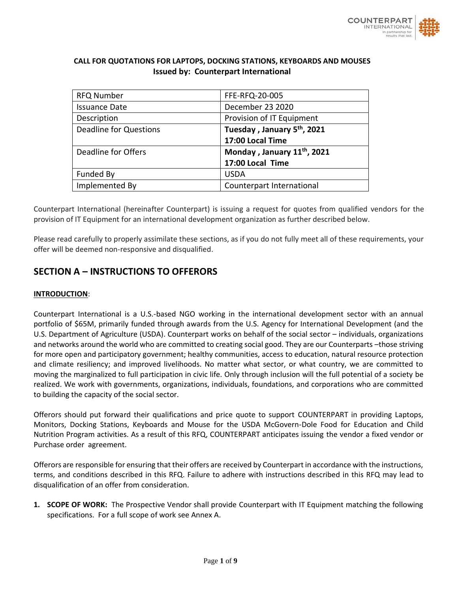

# **CALL FOR QUOTATIONS FOR LAPTOPS, DOCKING STATIONS, KEYBOARDS AND MOUSES Issued by: Counterpart International**

| <b>RFQ Number</b>             | FFE-RFQ-20-005                          |
|-------------------------------|-----------------------------------------|
| <b>Issuance Date</b>          | December 23 2020                        |
| Description                   | Provision of IT Equipment               |
| <b>Deadline for Questions</b> | Tuesday, January 5 <sup>th</sup> , 2021 |
|                               | 17:00 Local Time                        |
| Deadline for Offers           | Monday, January 11th, 2021              |
|                               | 17:00 Local Time                        |
| Funded By                     | <b>USDA</b>                             |
| Implemented By                | Counterpart International               |

Counterpart International (hereinafter Counterpart) is issuing a request for quotes from qualified vendors for the provision of IT Equipment for an international development organization as further described below.

Please read carefully to properly assimilate these sections, as if you do not fully meet all of these requirements, your offer will be deemed non-responsive and disqualified.

# **SECTION A – INSTRUCTIONS TO OFFERORS**

### **INTRODUCTION**:

Counterpart International is a U.S.-based NGO working in the international development sector with an annual portfolio of \$65M, primarily funded through awards from the U.S. Agency for International Development (and the U.S. Department of Agriculture (USDA). Counterpart works on behalf of the social sector – individuals, organizations and networks around the world who are committed to creating social good. They are our Counterparts –those striving for more open and participatory government; healthy communities, access to education, natural resource protection and climate resiliency; and improved livelihoods. No matter what sector, or what country, we are committed to moving the marginalized to full participation in civic life. Only through inclusion will the full potential of a society be realized. We work with governments, organizations, individuals, foundations, and corporations who are committed to building the capacity of the social sector.

Offerors should put forward their qualifications and price quote to support COUNTERPART in providing Laptops, Monitors, Docking Stations, Keyboards and Mouse for the USDA McGovern-Dole Food for Education and Child Nutrition Program activities. As a result of this RFQ, COUNTERPART anticipates issuing the vendor a fixed vendor or Purchase order agreement.

Offerors are responsible for ensuring that their offers are received by Counterpart in accordance with the instructions, terms, and conditions described in this RFQ. Failure to adhere with instructions described in this RFQ may lead to disqualification of an offer from consideration.

**1. SCOPE OF WORK:** The Prospective Vendor shall provide Counterpart with IT Equipment matching the following specifications. For a full scope of work see Annex A.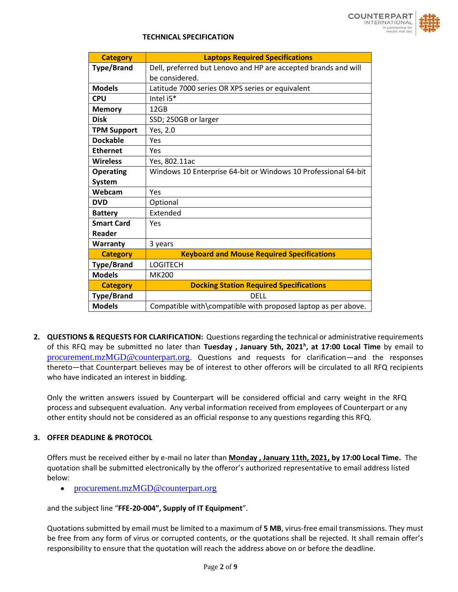

#### **TECHNICAL SPECIFICATION**

| <b>Category</b>    | <b>Laptops Required Specifications</b>                         |  |
|--------------------|----------------------------------------------------------------|--|
| <b>Type/Brand</b>  | Dell, preferred but Lenovo and HP are accepted brands and will |  |
|                    | be considered.                                                 |  |
| <b>Models</b>      | Latitude 7000 series OR XPS series or equivalent               |  |
| <b>CPU</b>         | Intel i5*                                                      |  |
| <b>Memory</b>      | 12GB                                                           |  |
| <b>Disk</b>        | SSD; 250GB or larger                                           |  |
| <b>TPM Support</b> | Yes, 2.0                                                       |  |
| <b>Dockable</b>    | Yes                                                            |  |
| <b>Ethernet</b>    | Yes                                                            |  |
| <b>Wireless</b>    | Yes, 802.11ac                                                  |  |
| <b>Operating</b>   | Windows 10 Enterprise 64-bit or Windows 10 Professional 64-bit |  |
| <b>System</b>      |                                                                |  |
| Webcam             | Yes                                                            |  |
| <b>DVD</b>         | Optional                                                       |  |
| <b>Battery</b>     | Extended                                                       |  |
| <b>Smart Card</b>  | Yes                                                            |  |
| Reader             |                                                                |  |
| Warranty           | 3 years                                                        |  |
| <b>Category</b>    | <b>Keyboard and Mouse Required Specifications</b>              |  |
| <b>Type/Brand</b>  | <b>LOGITECH</b>                                                |  |
| <b>Models</b>      | <b>MK200</b>                                                   |  |
| <b>Category</b>    | <b>Docking Station Required Specifications</b>                 |  |
| <b>Type/Brand</b>  | DELL                                                           |  |
| <b>Models</b>      | Compatible with\compatible with proposed laptop as per above.  |  |

**2. QUESTIONS & REQUESTS FOR CLARIFICATION:** Questions regarding the technical or administrative requirements of this RFQ may be submitted no later than **Tuesday , January 5th, 2021<sup>h</sup> , at 17:00 Local Time** by email to [procurement.mzMGD@counterpart.org](mailto:procurement.mzMGD@counterpart.org). Questions and requests for clarification—and the responses thereto—that Counterpart believes may be of interest to other offerors will be circulated to all RFQ recipients who have indicated an interest in bidding.

Only the written answers issued by Counterpart will be considered official and carry weight in the RFQ process and subsequent evaluation. Any verbal information received from employees of Counterpart or any other entity should not be considered as an official response to any questions regarding this RFQ.

#### **3. OFFER DEADLINE & PROTOCOL**

Offers must be received either by e-mail no later than **Monday , January 11th, 2021, by 17:00 Local Time.** The quotation shall be submitted electronically by the offeror's authorized representative to email address listed below:

• [procurement.mzMGD@counterpart.org](mailto:procurement.mzMGD@counterpart.org)

and the subject line "**FFE-20-004", Supply of IT Equipment**".

Quotations submitted by email must be limited to a maximum of **5 MB**, virus-free email transmissions. They must be free from any form of virus or corrupted contents, or the quotations shall be rejected. It shall remain offer's responsibility to ensure that the quotation will reach the address above on or before the deadline.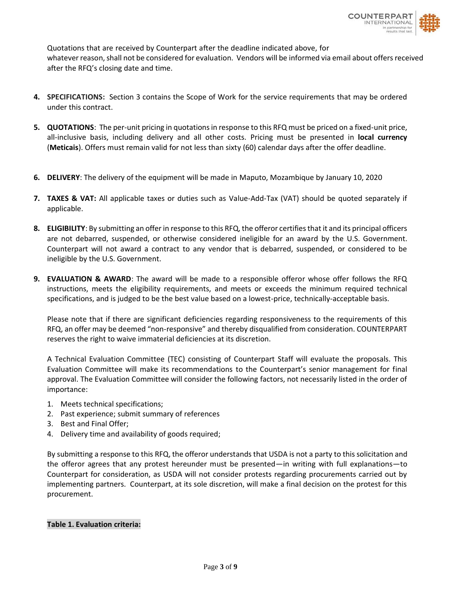

Quotations that are received by Counterpart after the deadline indicated above, for whatever reason, shall not be considered for evaluation. Vendors will be informed via email about offers received after the RFQ's closing date and time.

- **4. SPECIFICATIONS:** Section 3 contains the Scope of Work for the service requirements that may be ordered under this contract.
- **5. QUOTATIONS**: The per-unit pricing in quotations in response to this RFQ must be priced on a fixed-unit price, all-inclusive basis, including delivery and all other costs. Pricing must be presented in **local currency** (**Meticais**). Offers must remain valid for not less than sixty (60) calendar days after the offer deadline.
- **6. DELIVERY**: The delivery of the equipment will be made in Maputo, Mozambique by January 10, 2020
- **7. TAXES & VAT:** All applicable taxes or duties such as Value-Add-Tax (VAT) should be quoted separately if applicable.
- **8. ELIGIBILITY**: By submitting an offer in response to this RFQ, the offeror certifies that it and its principal officers are not debarred, suspended, or otherwise considered ineligible for an award by the U.S. Government. Counterpart will not award a contract to any vendor that is debarred, suspended, or considered to be ineligible by the U.S. Government.
- **9. EVALUATION & AWARD**: The award will be made to a responsible offeror whose offer follows the RFQ instructions, meets the eligibility requirements, and meets or exceeds the minimum required technical specifications, and is judged to be the best value based on a lowest-price, technically-acceptable basis.

Please note that if there are significant deficiencies regarding responsiveness to the requirements of this RFQ, an offer may be deemed "non-responsive" and thereby disqualified from consideration. COUNTERPART reserves the right to waive immaterial deficiencies at its discretion.

A Technical Evaluation Committee (TEC) consisting of Counterpart Staff will evaluate the proposals. This Evaluation Committee will make its recommendations to the Counterpart's senior management for final approval. The Evaluation Committee will consider the following factors, not necessarily listed in the order of importance:

- 1. Meets technical specifications;
- 2. Past experience; submit summary of references
- 3. Best and Final Offer;
- 4. Delivery time and availability of goods required;

By submitting a response to this RFQ, the offeror understands that USDA is not a party to this solicitation and the offeror agrees that any protest hereunder must be presented—in writing with full explanations—to Counterpart for consideration, as USDA will not consider protests regarding procurements carried out by implementing partners. Counterpart, at its sole discretion, will make a final decision on the protest for this procurement.

#### **Table 1. Evaluation criteria:**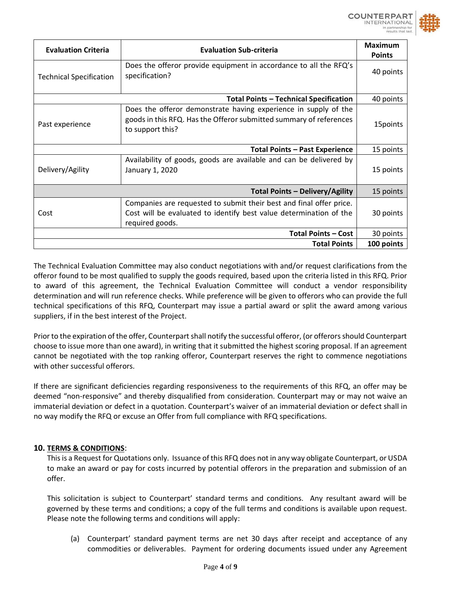

| <b>Evaluation Criteria</b><br><b>Evaluation Sub-criteria</b> |                                                                                     | <b>Maximum</b><br><b>Points</b> |
|--------------------------------------------------------------|-------------------------------------------------------------------------------------|---------------------------------|
|                                                              |                                                                                     |                                 |
| <b>Technical Specification</b>                               | Does the offeror provide equipment in accordance to all the RFQ's<br>specification? | 40 points                       |
| <b>Total Points - Technical Specification</b>                |                                                                                     |                                 |
|                                                              | Does the offeror demonstrate having experience in supply of the                     |                                 |
|                                                              | goods in this RFQ. Has the Offeror submitted summary of references                  |                                 |
| Past experience                                              | to support this?                                                                    | 15points                        |
|                                                              |                                                                                     |                                 |
| <b>Total Points - Past Experience</b>                        |                                                                                     |                                 |
|                                                              | Availability of goods, goods are available and can be delivered by                  |                                 |
| Delivery/Agility                                             | January 1, 2020                                                                     | 15 points                       |
|                                                              |                                                                                     |                                 |
| <b>Total Points - Delivery/Agility</b>                       |                                                                                     |                                 |
| Cost                                                         | Companies are requested to submit their best and final offer price.                 |                                 |
|                                                              | Cost will be evaluated to identify best value determination of the                  | 30 points                       |
|                                                              | required goods.                                                                     |                                 |
|                                                              | <b>Total Points - Cost</b>                                                          | 30 points                       |
|                                                              | <b>Total Points</b>                                                                 | 100 points                      |

The Technical Evaluation Committee may also conduct negotiations with and/or request clarifications from the offeror found to be most qualified to supply the goods required, based upon the criteria listed in this RFQ. Prior to award of this agreement, the Technical Evaluation Committee will conduct a vendor responsibility determination and will run reference checks. While preference will be given to offerors who can provide the full technical specifications of this RFQ, Counterpart may issue a partial award or split the award among various suppliers, if in the best interest of the Project.

Prior to the expiration of the offer, Counterpart shall notify the successful offeror, (or offerors should Counterpart choose to issue more than one award), in writing that it submitted the highest scoring proposal. If an agreement cannot be negotiated with the top ranking offeror, Counterpart reserves the right to commence negotiations with other successful offerors.

If there are significant deficiencies regarding responsiveness to the requirements of this RFQ, an offer may be deemed "non-responsive" and thereby disqualified from consideration. Counterpart may or may not waive an immaterial deviation or defect in a quotation. Counterpart's waiver of an immaterial deviation or defect shall in no way modify the RFQ or excuse an Offer from full compliance with RFQ specifications.

# **10. TERMS & CONDITIONS**:

This is a Request for Quotations only. Issuance of this RFQ does not in any way obligate Counterpart, or USDA to make an award or pay for costs incurred by potential offerors in the preparation and submission of an offer.

This solicitation is subject to Counterpart' standard terms and conditions. Any resultant award will be governed by these terms and conditions; a copy of the full terms and conditions is available upon request. Please note the following terms and conditions will apply:

(a) Counterpart' standard payment terms are net 30 days after receipt and acceptance of any commodities or deliverables. Payment for ordering documents issued under any Agreement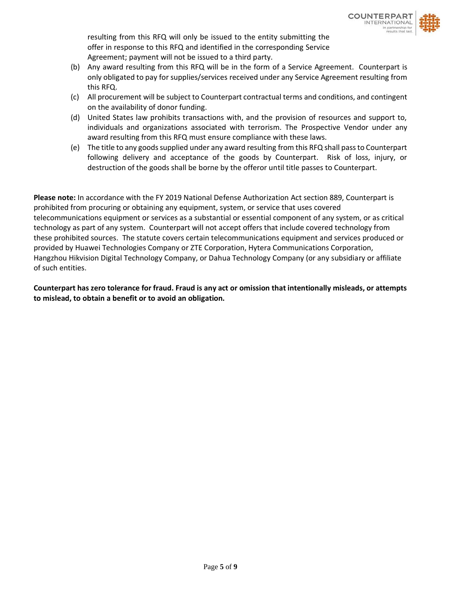resulting from this RFQ will only be issued to the entity submitting the offer in response to this RFQ and identified in the corresponding Service Agreement; payment will not be issued to a third party.

- (b) Any award resulting from this RFQ will be in the form of a Service Agreement. Counterpart is only obligated to pay for supplies/services received under any Service Agreement resulting from this RFQ.
- (c) All procurement will be subject to Counterpart contractual terms and conditions, and contingent on the availability of donor funding.
- (d) United States law prohibits transactions with, and the provision of resources and support to, individuals and organizations associated with terrorism. The Prospective Vendor under any award resulting from this RFQ must ensure compliance with these laws.
- (e) The title to any goods supplied under any award resulting from this RFQ shall pass to Counterpart following delivery and acceptance of the goods by Counterpart. Risk of loss, injury, or destruction of the goods shall be borne by the offeror until title passes to Counterpart.

**Please note:** In accordance with the FY 2019 National Defense Authorization Act section 889, Counterpart is prohibited from procuring or obtaining any equipment, system, or service that uses covered telecommunications equipment or services as a substantial or essential component of any system, or as critical technology as part of any system. Counterpart will not accept offers that include covered technology from these prohibited sources. The statute covers certain telecommunications equipment and services produced or provided by Huawei Technologies Company or ZTE Corporation, Hytera Communications Corporation, Hangzhou Hikvision Digital Technology Company, or Dahua Technology Company (or any subsidiary or affiliate of such entities.

**Counterpart has zero tolerance for fraud. Fraud is any act or omission that intentionally misleads, or attempts to mislead, to obtain a benefit or to avoid an obligation.**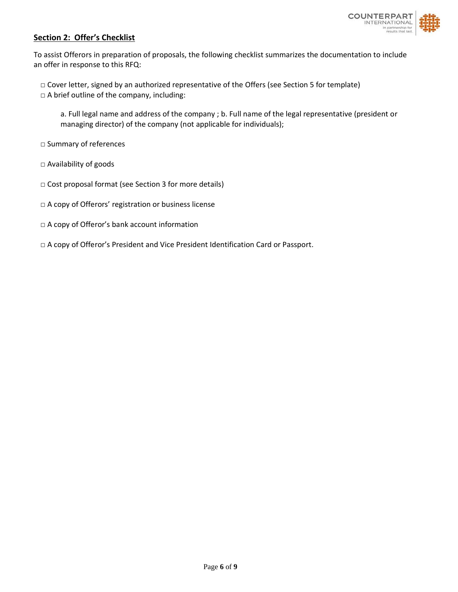

### **Section 2: Offer's Checklist**

To assist Offerors in preparation of proposals, the following checklist summarizes the documentation to include an offer in response to this RFQ:

- □ Cover letter, signed by an authorized representative of the Offers (see Section 5 for template) □ A brief outline of the company, including:
	- a. Full legal name and address of the company ; b. Full name of the legal representative (president or managing director) of the company (not applicable for individuals);
- □ Summary of references
- □ Availability of goods
- □ Cost proposal format (see Section 3 for more details)
- □ A copy of Offerors' registration or business license
- □ A copy of Offeror's bank account information
- □ A copy of Offeror's President and Vice President Identification Card or Passport.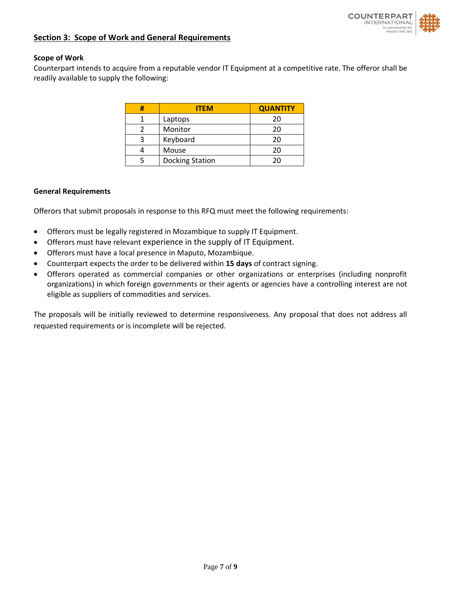

#### **Section 3: Scope of Work and General Requirements**

#### **Scope of Work**

Counterpart intends to acquire from a reputable vendor IT Equipment at a competitive rate. The offeror shall be readily available to supply the following:

| Ħ | <b>ITEM</b>            | <b>QUANTITY</b> |
|---|------------------------|-----------------|
|   | Laptops                | 20              |
|   | Monitor                | 20              |
|   | Keyboard               | 20              |
|   | Mouse                  | 20              |
|   | <b>Docking Station</b> | ንበ              |

#### **General Requirements**

Offerors that submit proposals in response to this RFQ must meet the following requirements:

- Offerors must be legally registered in Mozambique to supply IT Equipment.
- Offerors must have relevant experience in the supply of IT Equipment.
- Offerors must have a local presence in Maputo, Mozambique.
- Counterpart expects the order to be delivered within **15 days** of contract signing.
- Offerors operated as commercial companies or other organizations or enterprises (including nonprofit organizations) in which foreign governments or their agents or agencies have a controlling interest are not eligible as suppliers of commodities and services.

The proposals will be initially reviewed to determine responsiveness. Any proposal that does not address all requested requirements or is incomplete will be rejected.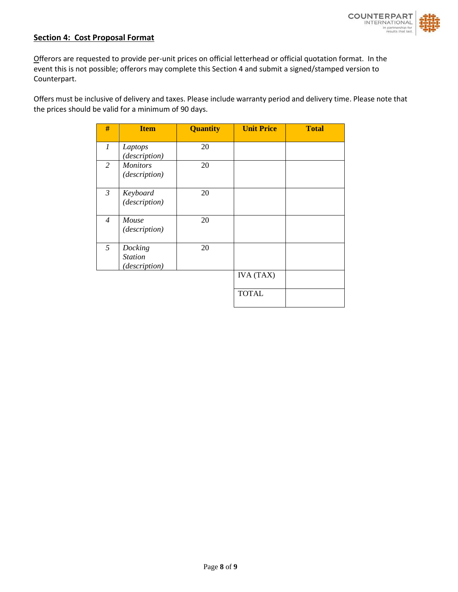

### **Section 4: Cost Proposal Format**

Offerors are requested to provide per-unit prices on official letterhead or official quotation format. In the event this is not possible; offerors may complete this Section 4 and submit a signed/stamped version to Counterpart.

Offers must be inclusive of delivery and taxes. Please include warranty period and delivery time. Please note that the prices should be valid for a minimum of 90 days.

| #              | <b>Item</b>                                | <b>Quantity</b> | <b>Unit Price</b> | <b>Total</b> |
|----------------|--------------------------------------------|-----------------|-------------------|--------------|
| 1              | Laptops<br>(description)                   | 20              |                   |              |
| 2              | <b>Monitors</b><br>(description)           | 20              |                   |              |
| $\mathfrak{Z}$ | Keyboard<br>(description)                  | 20              |                   |              |
| $\overline{4}$ | Mouse<br>(description)                     | 20              |                   |              |
| 5              | Docking<br><b>Station</b><br>(description) | 20              |                   |              |
|                |                                            |                 | <b>IVA</b> (TAX)  |              |
|                |                                            |                 | <b>TOTAL</b>      |              |